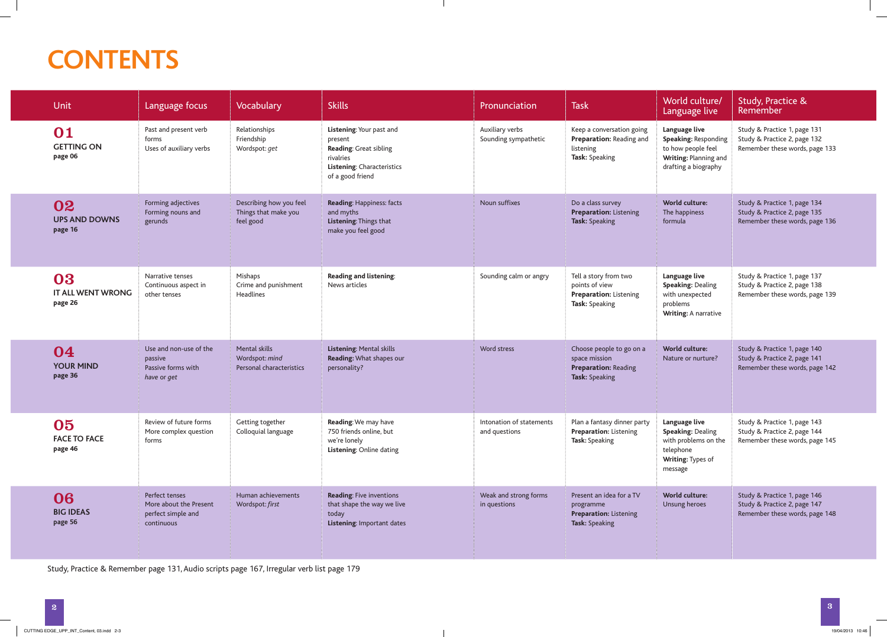## **CONTENTS**

| <b>Unit</b>                               | Language focus                                                               | Vocabulary                                                   | <b>Skills</b>                                                                                                                | <b>Pronunciation</b>                      | <b>Task</b>                                                                                       | World culture/<br>Language live                                                                                | <b>Study, Practice &amp;</b><br>Remember                                                       |
|-------------------------------------------|------------------------------------------------------------------------------|--------------------------------------------------------------|------------------------------------------------------------------------------------------------------------------------------|-------------------------------------------|---------------------------------------------------------------------------------------------------|----------------------------------------------------------------------------------------------------------------|------------------------------------------------------------------------------------------------|
| 01<br><b>GETTING ON</b><br>page 06        | Past and present verb<br>forms<br>Uses of auxiliary verbs                    | Relationships<br>Friendship<br>Wordspot: get                 | Listening: Your past and<br>present<br>Reading: Great sibling<br>rivalries<br>Listening: Characteristics<br>of a good friend | Auxiliary verbs<br>Sounding sympathetic   | Keep a conversation going<br>Preparation: Reading and<br>listening<br>Task: Speaking              | Language live<br>Speaking: Responding<br>to how people feel<br>Writing: Planning and<br>drafting a biography   | Study & Practice 1, page 131<br>Study & Practice 2, page 132<br>Remember these words, page 133 |
| 02<br><b>UPS AND DOWNS</b><br>page 16     | Forming adjectives<br>Forming nouns and<br>gerunds                           | Describing how you feel<br>Things that make you<br>feel good | Reading: Happiness: facts<br>and myths<br>Listening: Things that<br>make you feel good                                       | Noun suffixes                             | Do a class survey<br><b>Preparation: Listening</b><br>Task: Speaking                              | <b>World culture:</b><br>The happiness<br>formula                                                              | Study & Practice 1, page 134<br>Study & Practice 2, page 135<br>Remember these words, page 136 |
| 03<br><b>IT ALL WENT WRONG</b><br>page 26 | Narrative tenses<br>Continuous aspect in<br>other tenses                     | Mishaps<br>Crime and punishment<br>Headlines                 | Reading and listening:<br>News articles                                                                                      | Sounding calm or angry                    | Tell a story from two<br>points of view<br><b>Preparation: Listening</b><br>Task: Speaking        | Language live<br><b>Speaking: Dealing</b><br>with unexpected<br>problems<br><b>Writing: A narrative</b>        | Study & Practice 1, page 137<br>Study & Practice 2, page 138<br>Remember these words, page 139 |
| 04<br><b>YOUR MIND</b><br>page 36         | Use and non-use of the<br>passive<br>Passive forms with<br>have or get       | Mental skills<br>Wordspot: mind<br>Personal characteristics  | Listening: Mental skills<br>Reading: What shapes our<br>personality?                                                         | Word stress                               | Choose people to go on a<br>space mission<br><b>Preparation: Reading</b><br><b>Task: Speaking</b> | World culture:<br>Nature or nurture?                                                                           | Study & Practice 1, page 140<br>Study & Practice 2, page 141<br>Remember these words, page 142 |
| 05<br><b>FACE TO FACE</b><br>page 46      | Review of future forms<br>More complex question<br>forms                     | Getting together<br>Colloquial language                      | Reading: We may have<br>750 friends online, but<br>we're lonely<br>Listening: Online dating                                  | Intonation of statements<br>and questions | Plan a fantasy dinner party<br><b>Preparation: Listening</b><br>Task: Speaking                    | Language live<br><b>Speaking: Dealing</b><br>with problems on the<br>telephone<br>Writing: Types of<br>message | Study & Practice 1, page 143<br>Study & Practice 2, page 144<br>Remember these words, page 145 |
| 06<br><b>BIG IDEAS</b><br>page 56         | Perfect tenses<br>More about the Present<br>perfect simple and<br>continuous | Human achievements<br>Wordspot: first                        | Reading: Five inventions<br>that shape the way we live<br>today<br>Listening: Important dates                                | Weak and strong forms<br>in questions     | Present an idea for a TV<br>programme<br><b>Preparation: Listening</b><br>Task: Speaking          | <b>World culture:</b><br>Unsung heroes                                                                         | Study & Practice 1, page 146<br>Study & Practice 2, page 147<br>Remember these words, page 148 |

Study, Practice & Remember page 131, Audio scripts page 167, Irregular verb list page 179